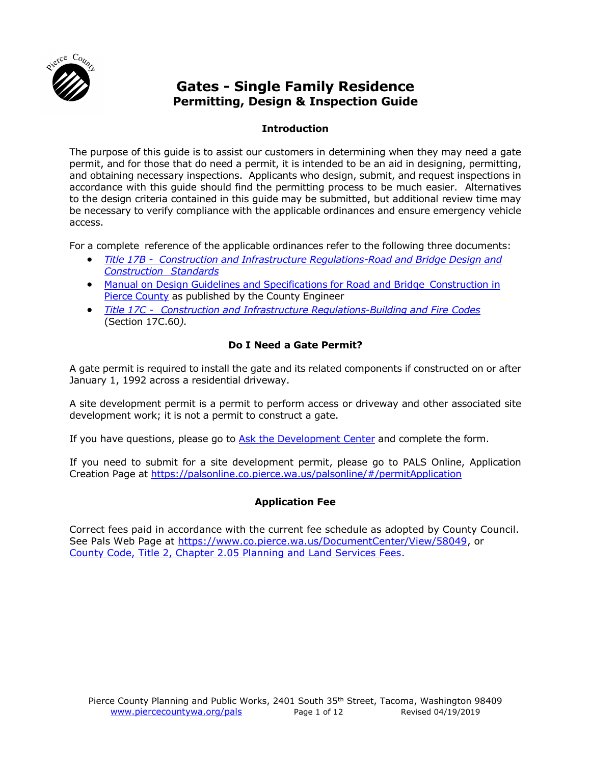

# **Gates - Single Family Residence Permitting, Design & Inspection Guide**

# **Introduction**

The purpose of this guide is to assist our customers in determining when they may need a gate permit, and for those that do need a permit, it is intended to be an aid in designing, permitting, and obtaining necessary inspections. Applicants who design, submit, and request inspections in accordance with this guide should find the permitting process to be much easier. Alternatives to the design criteria contained in this guide may be submitted, but additional review time may be necessary to verify compliance with the applicable ordinances and ensure emergency vehicle access.

For a complete reference of the applicable ordinances refer to the following three documents:

- *Title 17B Construction and [Infrastructure Regulations-Road](http://www.codepublishing.com/WA/PierceCounty/#!/html/PierceCounty17B/PierceCounty17B.html) and Bridge Design and [Construction](http://www.codepublishing.com/WA/PierceCounty/#!/html/PierceCounty17B/PierceCounty17B.html) Standards*
- Manual on Design Guidelines and Specifications for Road and Bridge [Construction in](https://www.co.pierce.wa.us/6223/Design-Manual) Pierce [County](https://www.co.pierce.wa.us/6223/Design-Manual) as published by the County Engineer
- *Title 17C - Construction and [Infrastructure Regulations-Building](http://www.codepublishing.com/WA/PierceCounty/#!/html/PierceCounty17C/PierceCounty17C.html) and Fire Codes* (Section 17C.60*).*

# **Do I Need a Gate Permit?**

A gate permit is required to install the gate and its related components if constructed on or after January 1, 1992 across a residential driveway.

A site development permit is a permit to perform access or driveway and other associated site development work; it is not a permit to construct a gate.

If you have questions, please go to [Ask the Development Center](http://www.piercecountywa.org/FormCenter/Planning-and-Land-Services-13/Ask-The-Development-Center-59) and complete the form.

If you need to submit for a site development permit, please go to PALS Online, Application Creation Page at [https://palsonline.co.pierce.wa.us/palsonline/#/permitApplication](https://online.co.pierce.wa.us/cfapps/internet/account/login.cfm?logon_referer=https%3A%2F%2Fpalsonline.co.pierce.wa.us%2Fpalsonline%2F%23%2FpermitApplication)

# **Application Fee**

Correct fees paid in accordance with the current fee schedule as adopted by County Council. See Pals Web Page at [https://www.co.pierce.wa.us/DocumentCenter/View/58049,](https://www.co.pierce.wa.us/DocumentCenter/View/58049) or [County Code, Title 2, Chapter 2.05 Planning and Land Services Fees.](http://www.codepublishing.com/WA/PierceCounty/#!/PierceCounty02/PierceCounty0205.html)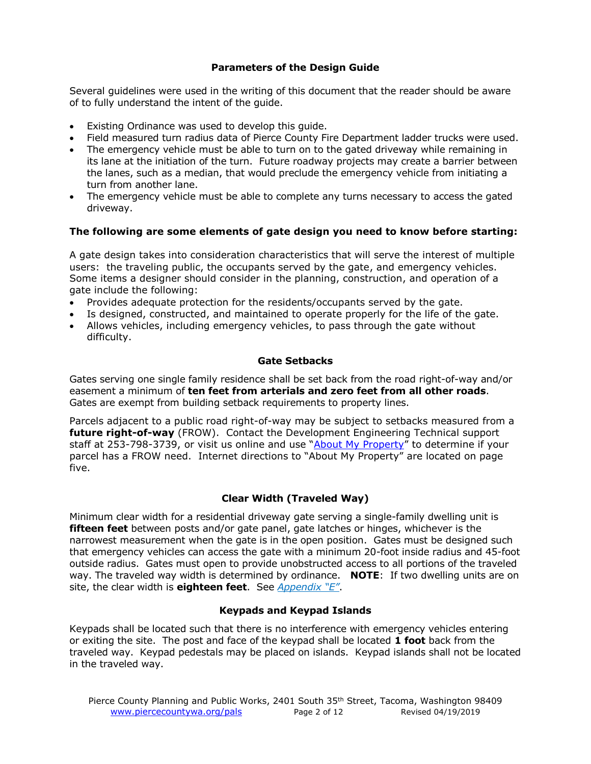# **Parameters of the Design Guide**

Several guidelines were used in the writing of this document that the reader should be aware of to fully understand the intent of the guide.

- Existing Ordinance was used to develop this guide.
- Field measured turn radius data of Pierce County Fire Department ladder trucks were used.
- The emergency vehicle must be able to turn on to the gated driveway while remaining in its lane at the initiation of the turn. Future roadway projects may create a barrier between the lanes, such as a median, that would preclude the emergency vehicle from initiating a turn from another lane.
- The emergency vehicle must be able to complete any turns necessary to access the gated driveway.

# **The following are some elements of gate design you need to know before starting:**

A gate design takes into consideration characteristics that will serve the interest of multiple users: the traveling public, the occupants served by the gate, and emergency vehicles. Some items a designer should consider in the planning, construction, and operation of a gate include the following:

- Provides adequate protection for the residents/occupants served by the gate.
- Is designed, constructed, and maintained to operate properly for the life of the gate.
- Allows vehicles, including emergency vehicles, to pass through the gate without difficulty.

#### **Gate Setbacks**

Gates serving one single family residence shall be set back from the road right-of-way and/or easement a minimum of **ten feet from arterials and zero feet from all other roads**. Gates are exempt from building setback requirements to property lines.

Parcels adjacent to a public road right-of-way may be subject to setbacks measured from a **future right-of-way** (FROW). Contact the Development Engineering Technical support staff at 253-798-3739, or visit us online and use "[About My Property](https://palsonline.co.pierce.wa.us/palsonline/#/AboutMyProperty)" to determine if your parcel has a FROW need. Internet directions to "About My Property" are located on page five.

# **Clear Width (Traveled Way)**

Minimum clear width for a residential driveway gate serving a single-family dwelling unit is **fifteen feet** between posts and/or gate panel, gate latches or hinges, whichever is the narrowest measurement when the gate is in the open position. Gates must be designed such that emergency vehicles can access the gate with a minimum 20-foot inside radius and 45-foot outside radius. Gates must open to provide unobstructed access to all portions of the traveled way. The traveled way width is determined by ordinance. **NOTE**: If two dwelling units are on site, the clear width is **eighteen feet**. See *[Appendix "E"](#page-10-0)*.

# **Keypads and Keypad Islands**

Keypads shall be located such that there is no interference with emergency vehicles entering or exiting the site. The post and face of the keypad shall be located **1 foot** back from the traveled way. Keypad pedestals may be placed on islands. Keypad islands shall not be located in the traveled way.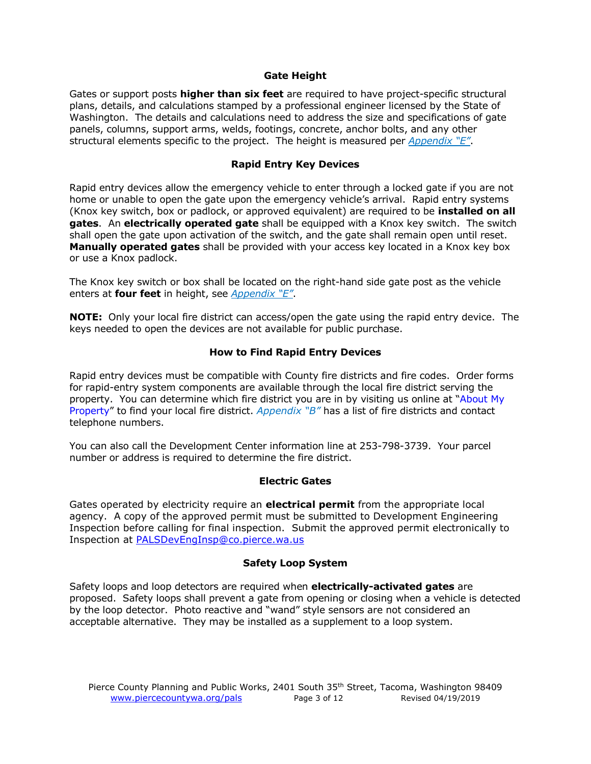#### **Gate Height**

Gates or support posts **higher than six feet** are required to have project-specific structural plans, details, and calculations stamped by a professional engineer licensed by the State of Washington. The details and calculations need to address the size and specifications of gate panels, columns, support arms, welds, footings, concrete, anchor bolts, and any other structural elements specific to the project. The height is measured per *[Appendix "E"](#page-10-0)*.

#### **Rapid Entry Key Devices**

Rapid entry devices allow the emergency vehicle to enter through a locked gate if you are not home or unable to open the gate upon the emergency vehicle's arrival. Rapid entry systems (Knox key switch, box or padlock, or approved equivalent) are required to be **installed on all gates**. An **electrically operated gate** shall be equipped with a Knox key switch. The switch shall open the gate upon activation of the switch, and the gate shall remain open until reset. **Manually operated gates** shall be provided with your access key located in a Knox key box or use a Knox padlock.

The Knox key switch or box shall be located on the right-hand side gate post as the vehicle enters at **four feet** in height, see *[Appendix "E"](#page-10-0)*.

**NOTE:** Only your local fire district can access/open the gate using the rapid entry device. The keys needed to open the devices are not available for public purchase.

# **How to Find Rapid Entry Devices**

Rapid entry devices must be compatible with County fire districts and fire codes. Order forms for rapid-entry system components are available through the local fire district serving the property. You can determine which fire district you are in by visiting us online at "[About My](https://palsonline.co.pierce.wa.us/palsonline/#/AboutMyProperty)  [Property](https://palsonline.co.pierce.wa.us/palsonline/#/AboutMyProperty)" to find your local fire district. *[Appendix "B"](#page-6-0)* has a list of fire districts and contact telephone numbers.

You can also call the Development Center information line at 253-798-3739. Your parcel number or address is required to determine the fire district.

#### **Electric Gates**

Gates operated by electricity require an **electrical permit** from the appropriate local agency. A copy of the approved permit must be submitted to Development Engineering Inspection before calling for final inspection. Submit the approved permit electronically to Inspection at [PALSDevEngInsp@co.pierce.wa.us](mailto:PALSDevEngInsp@co.pierce.wa.us)

#### **Safety Loop System**

Safety loops and loop detectors are required when **electrically-activated gates** are proposed. Safety loops shall prevent a gate from opening or closing when a vehicle is detected by the loop detector. Photo reactive and "wand" style sensors are not considered an acceptable alternative. They may be installed as a supplement to a loop system.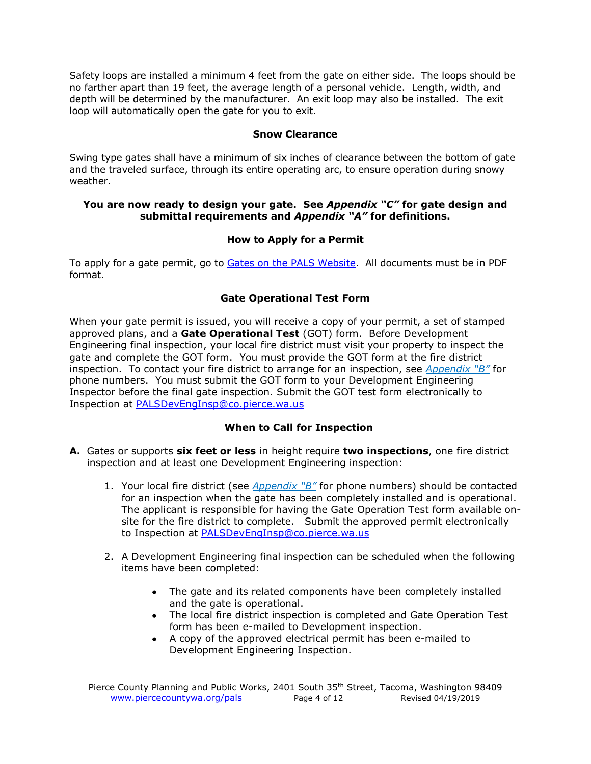Safety loops are installed a minimum 4 feet from the gate on either side. The loops should be no farther apart than 19 feet, the average length of a personal vehicle. Length, width, and depth will be determined by the manufacturer. An exit loop may also be installed. The exit loop will automatically open the gate for you to exit.

#### **Snow Clearance**

Swing type gates shall have a minimum of six inches of clearance between the bottom of gate and the traveled surface, through its entire operating arc, to ensure operation during snowy weather.

#### **You are now ready to design your gate. See** *[Appendix "](#page-7-0)C"* **for gate design and submittal requirements and** *[Appendix "A"](#page-5-0)* **for definitions.**

#### **How to Apply for a Permit**

To apply for a gate permit, go to [Gates on the PALS Website.](http://www.co.pierce.wa.us/index.aspx?NID=4640) All documents must be in PDF format.

# **Gate Operational Test Form**

When your gate permit is issued, you will receive a copy of your permit, a set of stamped approved plans, and a **Gate Operational Test** (GOT) form. Before Development Engineering final inspection, your local fire district must visit your property to inspect the gate and complete the GOT form. You must provide the GOT form at the fire district inspection. To contact your fire district to arrange for an inspection, see *[Appendix "B"](#page-6-0)* for phone numbers. You must submit the GOT form to your Development Engineering Inspector before the final gate inspection. Submit the GOT test form electronically to Inspection at [PALSDevEngInsp@co.pierce.wa.us](mailto:PALSDevEngInsp@co.pierce.wa.us)

# **When to Call for Inspection**

- **A.** Gates or supports **six feet or less** in height require **two inspections**, one fire district inspection and at least one Development Engineering inspection:
	- 1. Your local fire district (see *[Appendix "B"](#page-6-0)* for phone numbers) should be contacted for an inspection when the gate has been completely installed and is operational. The applicant is responsible for having the Gate Operation Test form available onsite for the fire district to complete. Submit the approved permit electronically to Inspection at [PALSDevEngInsp@co.pierce.wa.us](mailto:PALSDevEngInsp@co.pierce.wa.us)
	- 2. A Development Engineering final inspection can be scheduled when the following items have been completed:
		- The gate and its related components have been completely installed and the gate is operational.
		- The local fire district inspection is completed and Gate Operation Test form has been e-mailed to Development inspection.
		- A copy of the approved electrical permit has been e-mailed to Development Engineering Inspection.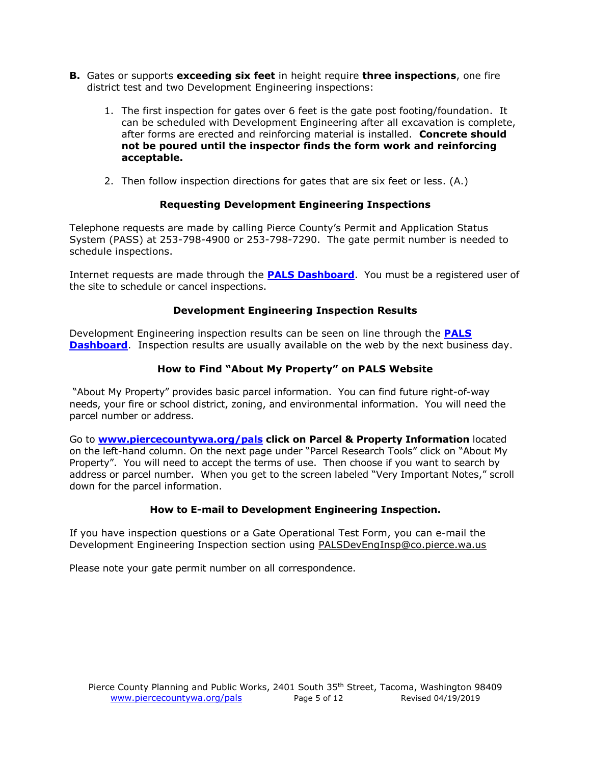- **B.** Gates or supports **exceeding six feet** in height require **three inspections**, one fire district test and two Development Engineering inspections:
	- 1. The first inspection for gates over 6 feet is the gate post footing/foundation. It can be scheduled with Development Engineering after all excavation is complete, after forms are erected and reinforcing material is installed. **Concrete should not be poured until the inspector finds the form work and reinforcing acceptable.**
	- 2. Then follow inspection directions for gates that are six feet or less. (A.)

# **Requesting Development Engineering Inspections**

Telephone requests are made by calling Pierce County's Permit and Application Status System (PASS) at 253-798-4900 or 253-798-7290. The gate permit number is needed to schedule inspections.

Internet requests are made through the **PALS [Dashboard](http://palsonline.co.pierce.wa.us/palsonline/permitsearch)**. You must be a registered user of the site to schedule or cancel inspections.

# **Development Engineering Inspection Results**

Development Engineering inspection results can be seen on line through the **[PALS](http://palsonline.co.pierce.wa.us/palsonline/permitsearch) [Dashboard](http://palsonline.co.pierce.wa.us/palsonline/permitsearch)**. Inspection results are usually available on the web by the next business day.

# **How to Find "About My Property" on PALS Website**

"About My Property" provides basic parcel information. You can find future right-of-way needs, your fire or school district, zoning, and environmental information. You will need the parcel number or address.

Go to **[www.piercecountywa.org/pals](http://www.piercecountywa.org/pals) click on Parcel & Property Information** located on the left-hand column. On the next page under "Parcel Research Tools" click on "About My Property". You will need to accept the terms of use. Then choose if you want to search by address or parcel number. When you get to the screen labeled "Very Important Notes," scroll down for the parcel information.

#### **How to E-mail to Development Engineering Inspection.**

If you have inspection questions or a Gate Operational Test Form, you can e-mail the Development Engineering Inspection section using [PALSDevEngInsp@co.pierce.wa.us](mailto:PALSDevEngInsp@co.pierce.wa.us)

Please note your gate permit number on all correspondence.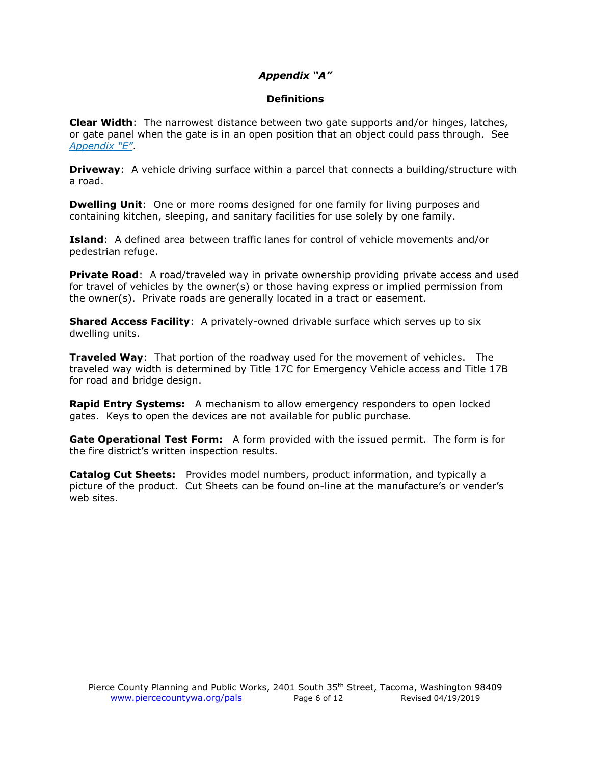# *Appendix "A"*

#### **Definitions**

<span id="page-5-0"></span>**Clear Width**: The narrowest distance between two gate supports and/or hinges, latches, or gate panel when the gate is in an open position that an object could pass through. See *[Appendix "E"](#page-10-0)*.

**Driveway**: A vehicle driving surface within a parcel that connects a building/structure with a road.

**Dwelling Unit**: One or more rooms designed for one family for living purposes and containing kitchen, sleeping, and sanitary facilities for use solely by one family.

**Island**: A defined area between traffic lanes for control of vehicle movements and/or pedestrian refuge.

**Private Road**: A road/traveled way in private ownership providing private access and used for travel of vehicles by the owner(s) or those having express or implied permission from the owner(s). Private roads are generally located in a tract or easement.

**Shared Access Facility:** A privately-owned drivable surface which serves up to six dwelling units.

**Traveled Way**: That portion of the roadway used for the movement of vehicles. The traveled way width is determined by Title 17C for Emergency Vehicle access and Title 17B for road and bridge design.

**Rapid Entry Systems:** A mechanism to allow emergency responders to open locked gates. Keys to open the devices are not available for public purchase.

**Gate Operational Test Form:** A form provided with the issued permit. The form is for the fire district's written inspection results.

**Catalog Cut Sheets:** Provides model numbers, product information, and typically a picture of the product. Cut Sheets can be found on-line at the manufacture's or vender's web sites.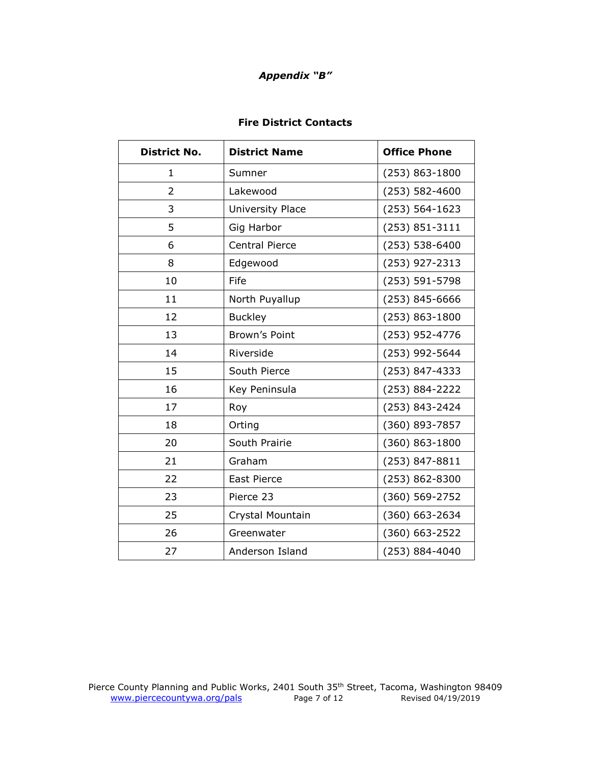# *Appendix "B"*

# **Fire District Contacts**

<span id="page-6-0"></span>

| <b>District No.</b> | <b>District Name</b>  | <b>Office Phone</b> |
|---------------------|-----------------------|---------------------|
| 1                   | Sumner                | $(253) 863 - 1800$  |
| $\overline{2}$      | Lakewood              | (253) 582-4600      |
| 3                   | University Place      | $(253) 564 - 1623$  |
| 5                   | Gig Harbor            | (253) 851-3111      |
| 6                   | <b>Central Pierce</b> | (253) 538-6400      |
| 8                   | Edgewood              | (253) 927-2313      |
| 10                  | Fife                  | (253) 591-5798      |
| 11                  | North Puyallup        | (253) 845-6666      |
| 12                  | <b>Buckley</b>        | $(253) 863 - 1800$  |
| 13                  | Brown's Point         | (253) 952-4776      |
| 14                  | Riverside             | (253) 992-5644      |
| 15                  | South Pierce          | (253) 847-4333      |
| 16                  | Key Peninsula         | (253) 884-2222      |
| 17                  | Roy                   | (253) 843-2424      |
| 18                  | Orting                | (360) 893-7857      |
| 20                  | South Prairie         | (360) 863-1800      |
| 21                  | Graham                | (253) 847-8811      |
| 22                  | <b>East Pierce</b>    | (253) 862-8300      |
| 23                  | Pierce 23             | (360) 569-2752      |
| 25                  | Crystal Mountain      | (360) 663-2634      |
| 26                  | Greenwater            | $(360) 663 - 2522$  |
| 27                  | Anderson Island       | (253) 884-4040      |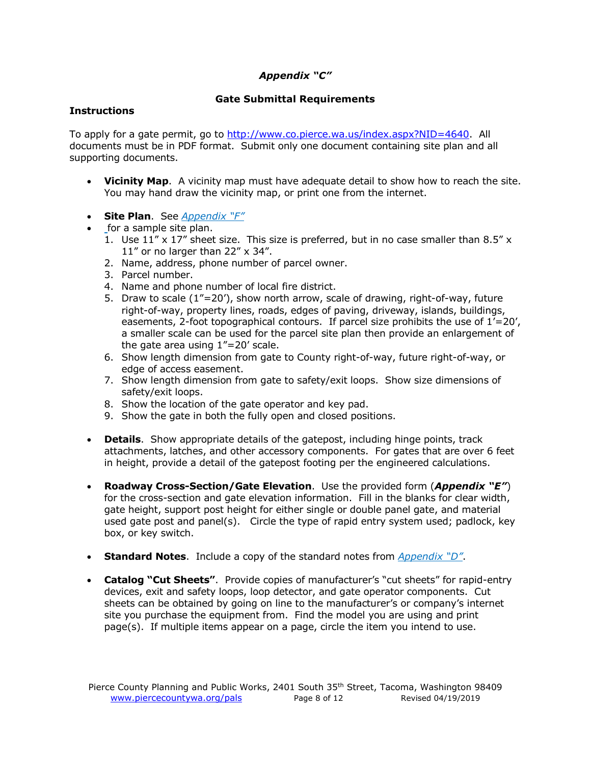# *Appendix "C"*

# **Gate Submittal Requirements**

### <span id="page-7-0"></span>**Instructions**

To apply for a gate permit, go to [http://www.co.pierce.wa.us/index.aspx?NID=4640.](http://www.co.pierce.wa.us/index.aspx?NID=4640) All documents must be in PDF format. Submit only one document containing site plan and all supporting documents.

- **Vicinity Map**. A vicinity map must have adequate detail to show how to reach the site. You may hand draw the vicinity map, or print one from the internet.
- **Site Plan**. See *[Appendix "](#page-11-0)F"*
- for a sample site plan.
	- 1. Use  $11'' \times 17''$  sheet size. This size is preferred, but in no case smaller than 8.5" x 11" or no larger than  $22'' \times 34''$ .
	- 2. Name, address, phone number of parcel owner.
	- 3. Parcel number.
	- 4. Name and phone number of local fire district.
	- 5. Draw to scale  $(1<sup>n</sup>=20')$ , show north arrow, scale of drawing, right-of-way, future right-of-way, property lines, roads, edges of paving, driveway, islands, buildings, easements, 2-foot topographical contours. If parcel size prohibits the use of  $1′=20′$ , a smaller scale can be used for the parcel site plan then provide an enlargement of the gate area using  $1" = 20'$  scale.
	- 6. Show length dimension from gate to County right-of-way, future right-of-way, or edge of access easement.
	- 7. Show length dimension from gate to safety/exit loops. Show size dimensions of safety/exit loops.
	- 8. Show the location of the gate operator and key pad.
	- 9. Show the gate in both the fully open and closed positions.
- **Details**. Show appropriate details of the gatepost, including hinge points, track attachments, latches, and other accessory components. For gates that are over 6 feet in height, provide a detail of the gatepost footing per the engineered calculations.
- **Roadway Cross-Section/Gate Elevation**. Use the provided form (*[Appendix "E"](#page-10-0)*) for the cross-section and gate elevation information. Fill in the blanks for clear width, gate height, support post height for either single or double panel gate, and material used gate post and panel(s). Circle the type of rapid entry system used; padlock, key box, or key switch.
- **Standard Notes**. Include a copy of the standard notes from *[Appendix "](#page-9-0)D"*.
- **Catalog "Cut Sheets"**. Provide copies of manufacturer's "cut sheets" for rapid-entry devices, exit and safety loops, loop detector, and gate operator components. Cut sheets can be obtained by going on line to the manufacturer's or company's internet site you purchase the equipment from. Find the model you are using and print page(s). If multiple items appear on a page, circle the item you intend to use.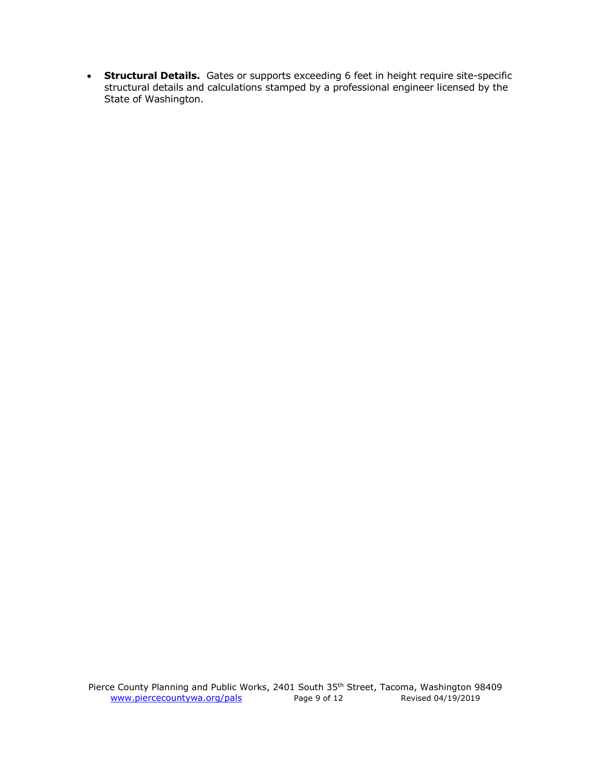• **Structural Details.** Gates or supports exceeding 6 feet in height require site-specific structural details and calculations stamped by a professional engineer licensed by the State of Washington.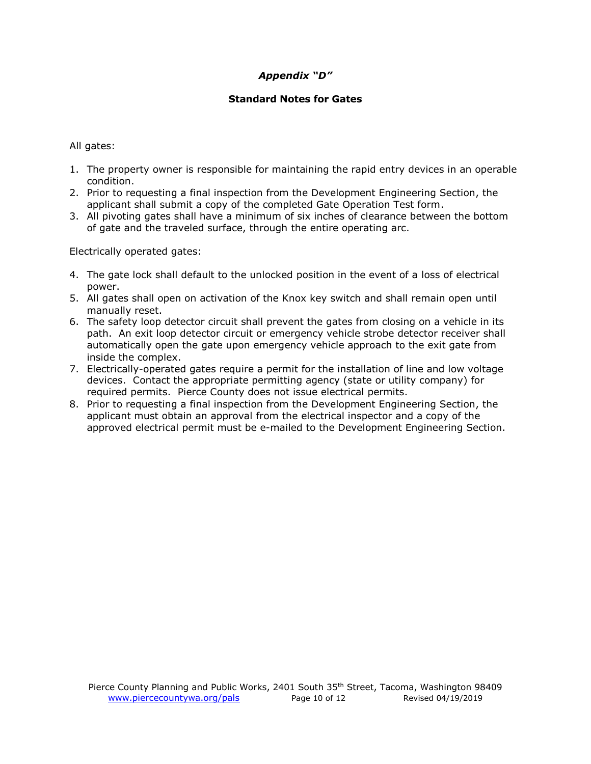# *Appendix "D"*

# **Standard Notes for Gates**

<span id="page-9-0"></span>All gates:

- 1. The property owner is responsible for maintaining the rapid entry devices in an operable condition.
- 2. Prior to requesting a final inspection from the Development Engineering Section, the applicant shall submit a copy of the completed Gate Operation Test form.
- 3. All pivoting gates shall have a minimum of six inches of clearance between the bottom of gate and the traveled surface, through the entire operating arc.

Electrically operated gates:

- 4. The gate lock shall default to the unlocked position in the event of a loss of electrical power.
- 5. All gates shall open on activation of the Knox key switch and shall remain open until manually reset.
- 6. The safety loop detector circuit shall prevent the gates from closing on a vehicle in its path. An exit loop detector circuit or emergency vehicle strobe detector receiver shall automatically open the gate upon emergency vehicle approach to the exit gate from inside the complex.
- 7. Electrically-operated gates require a permit for the installation of line and low voltage devices. Contact the appropriate permitting agency (state or utility company) for required permits. Pierce County does not issue electrical permits.
- 8. Prior to requesting a final inspection from the Development Engineering Section, the applicant must obtain an approval from the electrical inspector and a copy of the approved electrical permit must be e-mailed to the Development Engineering Section.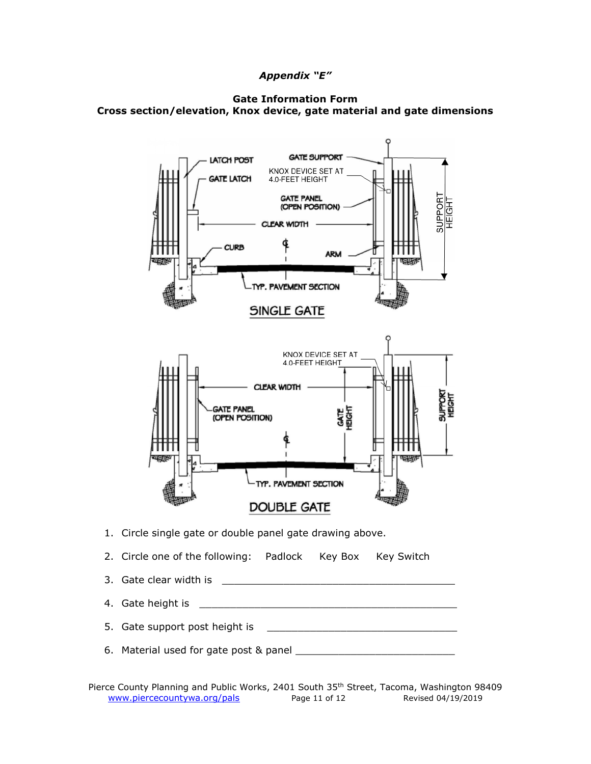# *Appendix "E"*

<span id="page-10-0"></span>



- 4. Gate height is \_\_\_\_\_\_\_\_\_\_\_\_\_\_\_\_\_\_\_\_\_\_\_\_\_\_\_\_\_\_\_\_\_\_\_\_\_\_\_\_\_\_
- 5. Gate support post height is \_\_\_\_\_\_\_\_\_\_\_\_\_\_\_\_\_\_\_\_\_\_\_\_\_\_\_\_\_\_\_
- 6. Material used for gate post & panel \_\_\_\_\_\_\_\_\_\_\_\_\_\_\_\_\_\_\_\_\_\_\_\_\_\_

Pierce County Planning and Public Works, 2401 South 35<sup>th</sup> Street, Tacoma, Washington 98409 [www.piercecountywa.org/pals](http://www.piercecountywa.org/pals) Page 11 of 12 Revised 04/19/2019